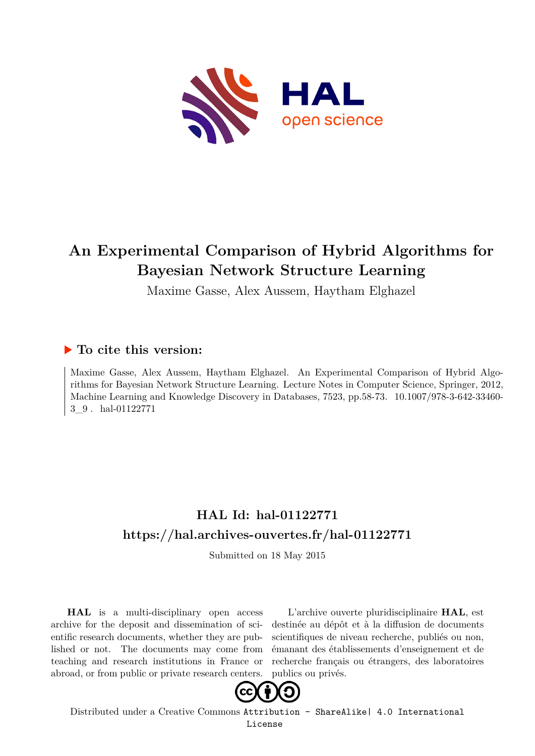

# **An Experimental Comparison of Hybrid Algorithms for Bayesian Network Structure Learning**

Maxime Gasse, Alex Aussem, Haytham Elghazel

## **To cite this version:**

Maxime Gasse, Alex Aussem, Haytham Elghazel. An Experimental Comparison of Hybrid Algorithms for Bayesian Network Structure Learning. Lecture Notes in Computer Science, Springer, 2012, Machine Learning and Knowledge Discovery in Databases, 7523, pp.58-73. 10.1007/978-3-642-33460-3 9. hal-01122771

# **HAL Id: hal-01122771 <https://hal.archives-ouvertes.fr/hal-01122771>**

Submitted on 18 May 2015

**HAL** is a multi-disciplinary open access archive for the deposit and dissemination of scientific research documents, whether they are published or not. The documents may come from teaching and research institutions in France or abroad, or from public or private research centers.

L'archive ouverte pluridisciplinaire **HAL**, est destinée au dépôt et à la diffusion de documents scientifiques de niveau recherche, publiés ou non, émanant des établissements d'enseignement et de recherche français ou étrangers, des laboratoires publics ou privés.



Distributed under a Creative Commons [Attribution - ShareAlike| 4.0 International](http://creativecommons.org/licenses/by-sa/4.0/) [License](http://creativecommons.org/licenses/by-sa/4.0/)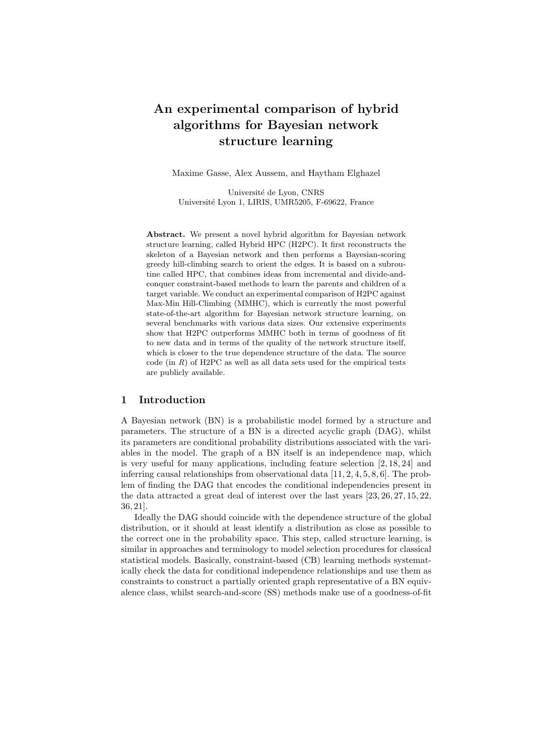# An experimental comparison of hybrid algorithms for Bayesian network structure learning

Maxime Gasse, Alex Aussem, and Haytham Elghazel

Université de Lyon, CNRS Université Lyon 1, LIRIS, UMR5205, F-69622, France

Abstract. We present a novel hybrid algorithm for Bayesian network structure learning, called Hybrid HPC (H2PC). It first reconstructs the skeleton of a Bayesian network and then performs a Bayesian-scoring greedy hill-climbing search to orient the edges. It is based on a subroutine called HPC, that combines ideas from incremental and divide-andconquer constraint-based methods to learn the parents and children of a target variable. We conduct an experimental comparison of H2PC against Max-Min Hill-Climbing (MMHC), which is currently the most powerful state-of-the-art algorithm for Bayesian network structure learning, on several benchmarks with various data sizes. Our extensive experiments show that H2PC outperforms MMHC both in terms of goodness of fit to new data and in terms of the quality of the network structure itself, which is closer to the true dependence structure of the data. The source code (in *R*) of H2PC as well as all data sets used for the empirical tests are publicly available.

#### 1 Introduction

A Bayesian network (BN) is a probabilistic model formed by a structure and parameters. The structure of a BN is a directed acyclic graph (DAG), whilst its parameters are conditional probability distributions associated with the variables in the model. The graph of a BN itself is an independence map, which is very useful for many applications, including feature selection [2, 18, 24] and inferring causal relationships from observational data [11, 2, 4, 5, 8, 6]. The problem of finding the DAG that encodes the conditional independencies present in the data attracted a great deal of interest over the last years [23, 26, 27, 15, 22, 36, 21].

Ideally the DAG should coincide with the dependence structure of the global distribution, or it should at least identify a distribution as close as possible to the correct one in the probability space. This step, called structure learning, is similar in approaches and terminology to model selection procedures for classical statistical models. Basically, constraint-based (CB) learning methods systematically check the data for conditional independence relationships and use them as constraints to construct a partially oriented graph representative of a BN equivalence class, whilst search-and-score (SS) methods make use of a goodness-of-fit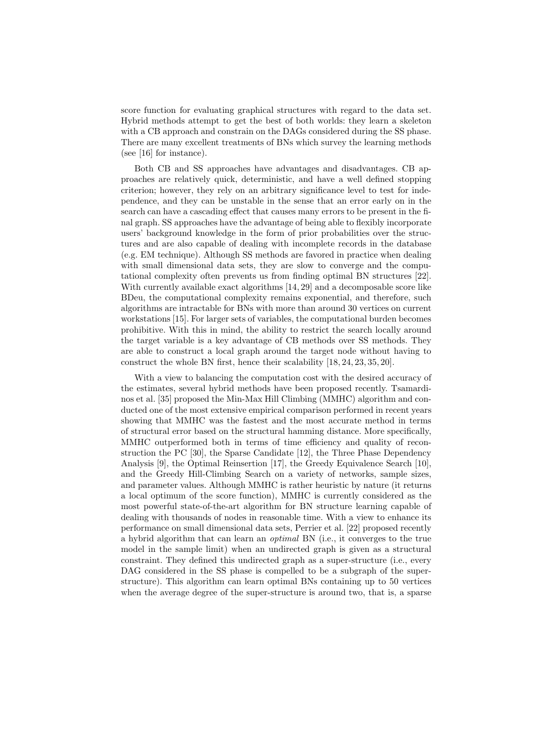score function for evaluating graphical structures with regard to the data set. Hybrid methods attempt to get the best of both worlds: they learn a skeleton with a CB approach and constrain on the DAGs considered during the SS phase. There are many excellent treatments of BNs which survey the learning methods (see [16] for instance).

Both CB and SS approaches have advantages and disadvantages. CB approaches are relatively quick, deterministic, and have a well defined stopping criterion; however, they rely on an arbitrary significance level to test for independence, and they can be unstable in the sense that an error early on in the search can have a cascading effect that causes many errors to be present in the final graph. SS approaches have the advantage of being able to flexibly incorporate users' background knowledge in the form of prior probabilities over the structures and are also capable of dealing with incomplete records in the database (e.g. EM technique). Although SS methods are favored in practice when dealing with small dimensional data sets, they are slow to converge and the computational complexity often prevents us from finding optimal BN structures [22]. With currently available exact algorithms [14, 29] and a decomposable score like BDeu, the computational complexity remains exponential, and therefore, such algorithms are intractable for BNs with more than around 30 vertices on current workstations [15]. For larger sets of variables, the computational burden becomes prohibitive. With this in mind, the ability to restrict the search locally around the target variable is a key advantage of CB methods over SS methods. They are able to construct a local graph around the target node without having to construct the whole BN first, hence their scalability [18, 24, 23, 35, 20].

With a view to balancing the computation cost with the desired accuracy of the estimates, several hybrid methods have been proposed recently. Tsamardinos et al. [35] proposed the Min-Max Hill Climbing (MMHC) algorithm and conducted one of the most extensive empirical comparison performed in recent years showing that MMHC was the fastest and the most accurate method in terms of structural error based on the structural hamming distance. More specifically, MMHC outperformed both in terms of time efficiency and quality of reconstruction the PC [30], the Sparse Candidate [12], the Three Phase Dependency Analysis [9], the Optimal Reinsertion [17], the Greedy Equivalence Search [10], and the Greedy Hill-Climbing Search on a variety of networks, sample sizes, and parameter values. Although MMHC is rather heuristic by nature (it returns a local optimum of the score function), MMHC is currently considered as the most powerful state-of-the-art algorithm for BN structure learning capable of dealing with thousands of nodes in reasonable time. With a view to enhance its performance on small dimensional data sets, Perrier et al. [22] proposed recently a hybrid algorithm that can learn an optimal BN (i.e., it converges to the true model in the sample limit) when an undirected graph is given as a structural constraint. They defined this undirected graph as a super-structure (i.e., every DAG considered in the SS phase is compelled to be a subgraph of the superstructure). This algorithm can learn optimal BNs containing up to 50 vertices when the average degree of the super-structure is around two, that is, a sparse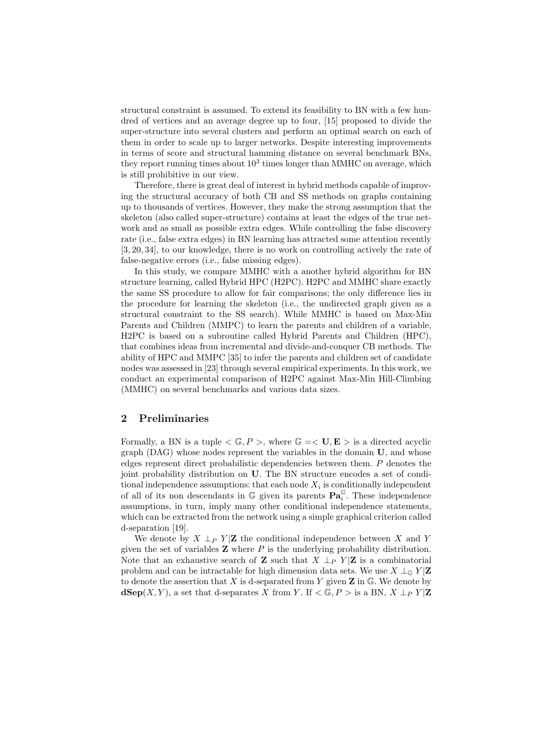structural constraint is assumed. To extend its feasibility to BN with a few hundred of vertices and an average degree up to four, [15] proposed to divide the super-structure into several clusters and perform an optimal search on each of them in order to scale up to larger networks. Despite interesting improvements in terms of score and structural hamming distance on several benchmark BNs, they report running times about  $10^3$  times longer than MMHC on average, which is still prohibitive in our view.

Therefore, there is great deal of interest in hybrid methods capable of improving the structural accuracy of both CB and SS methods on graphs containing up to thousands of vertices. However, they make the strong assumption that the skeleton (also called super-structure) contains at least the edges of the true network and as small as possible extra edges. While controlling the false discovery rate (i.e., false extra edges) in BN learning has attracted some attention recently [3, 20, 34], to our knowledge, there is no work on controlling actively the rate of false-negative errors (i.e., false missing edges).

In this study, we compare MMHC with a another hybrid algorithm for BN structure learning, called Hybrid HPC (H2PC). H2PC and MMHC share exactly the same SS procedure to allow for fair comparisons; the only difference lies in the procedure for learning the skeleton (i.e., the undirected graph given as a structural constraint to the SS search). While MMHC is based on Max-Min Parents and Children (MMPC) to learn the parents and children of a variable, H2PC is based on a subroutine called Hybrid Parents and Children (HPC), that combines ideas from incremental and divide-and-conquer CB methods. The ability of HPC and MMPC [35] to infer the parents and children set of candidate nodes was assessed in [23] through several empirical experiments. In this work, we conduct an experimental comparison of H2PC against Max-Min Hill-Climbing (MMHC) on several benchmarks and various data sizes.

#### 2 Preliminaries

Formally, a BN is a tuple  $\langle \mathbb{G}, P \rangle$ , where  $\mathbb{G} = \langle \mathbf{U}, \mathbf{E} \rangle$  is a directed acyclic  $graph (DAG)$  whose nodes represent the variables in the domain  $U$ , and whose edges represent direct probabilistic dependencies between them. P denotes the joint probability distribution on U. The BN structure encodes a set of conditional independence assumptions: that each node  $X_i$  is conditionally independent of all of its non descendants in  $\mathbb G$  given its parents  $\mathbf{Pa}_i^{\mathbb G}$ . These independence assumptions, in turn, imply many other conditional independence statements, which can be extracted from the network using a simple graphical criterion called d-separation [19].

We denote by  $X \perp_P Y | \mathbf{Z}$  the conditional independence between X and Y given the set of variables  $Z$  where  $P$  is the underlying probability distribution. Note that an exhaustive search of **Z** such that  $X \perp_{P} Y | \mathbf{Z}$  is a combinatorial problem and can be intractable for high dimension data sets. We use  $X \perp_{\mathbb{G}} Y | \mathbf{Z}$ to denote the assertion that X is d-separated from Y given  $\mathbf Z$  in  $\mathbb G$ . We denote by  $d\mathbf{Sep}(X, Y)$ , a set that d-separates X from Y. If  $\langle \mathbb{G}, P \rangle$  is a BN,  $X \perp_P Y | \mathbf{Z}$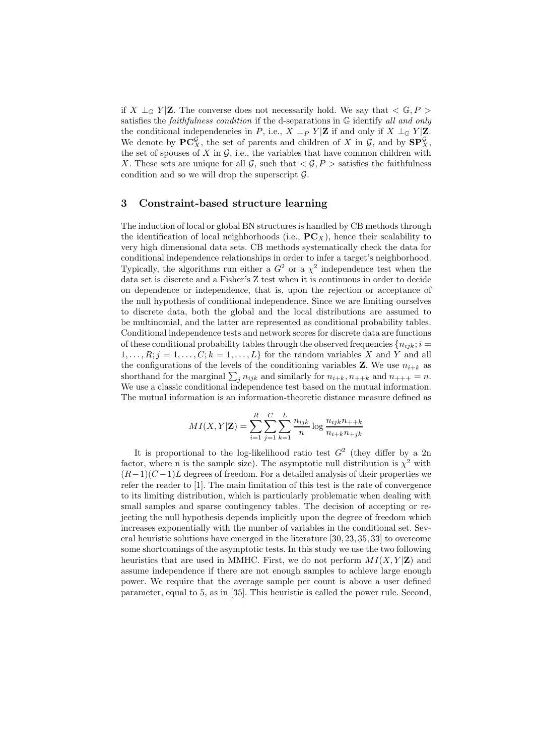if X  $\perp$ <sub>G</sub> Y|**Z**. The converse does not necessarily hold. We say that < G, P > satisfies the *faithfulness condition* if the d-separations in G identify all and only the conditional independencies in P, i.e.,  $X \perp_{P} Y | \mathbf{Z}$  if and only if  $X \perp_{\mathbb{G}} Y | \mathbf{Z}$ . We denote by  $\mathbf{PC}_X^{\mathcal{G}}$ , the set of parents and children of X in  $\mathcal{G}$ , and by  $\mathbf{SP}_X^{\mathcal{G}}$ , the set of spouses of X in  $\mathcal{G}$ , i.e., the variables that have common children with X. These sets are unique for all  $\mathcal{G}$ , such that  $\langle \mathcal{G}, P \rangle$  satisfies the faithfulness condition and so we will drop the superscript  $\mathcal{G}$ .

#### 3 Constraint-based structure learning

The induction of local or global BN structures is handled by CB methods through the identification of local neighborhoods (i.e.,  $\mathbf{PC}_X$ ), hence their scalability to very high dimensional data sets. CB methods systematically check the data for conditional independence relationships in order to infer a target's neighborhood. Typically, the algorithms run either a  $G^2$  or a  $\chi^2$  independence test when the data set is discrete and a Fisher's Z test when it is continuous in order to decide on dependence or independence, that is, upon the rejection or acceptance of the null hypothesis of conditional independence. Since we are limiting ourselves to discrete data, both the global and the local distributions are assumed to be multinomial, and the latter are represented as conditional probability tables. Conditional independence tests and network scores for discrete data are functions of these conditional probability tables through the observed frequencies  $\{n_{ijk}; i =$  $1, \ldots, R; j = 1, \ldots, C; k = 1, \ldots, L$  for the random variables X and Y and all the configurations of the levels of the conditioning variables **Z**. We use  $n_{i+k}$  as shorthand for the marginal  $\sum_j n_{ijk}$  and similarly for  $n_{i+k}, n_{++k}$  and  $n_{+++} = n$ . We use a classic conditional independence test based on the mutual information. The mutual information is an information-theoretic distance measure defined as

$$
MI(X, Y|Z) = \sum_{i=1}^{R} \sum_{j=1}^{C} \sum_{k=1}^{L} \frac{n_{ijk}}{n} \log \frac{n_{ijk}n_{++k}}{n_{i+k}n_{+jk}}
$$

It is proportional to the log-likelihood ratio test  $G^2$  (they differ by a 2n factor, where n is the sample size). The asymptotic null distribution is  $\chi^2$  with  $(R-1)(C-1)L$  degrees of freedom. For a detailed analysis of their properties we refer the reader to [1]. The main limitation of this test is the rate of convergence to its limiting distribution, which is particularly problematic when dealing with small samples and sparse contingency tables. The decision of accepting or rejecting the null hypothesis depends implicitly upon the degree of freedom which increases exponentially with the number of variables in the conditional set. Several heuristic solutions have emerged in the literature [30, 23, 35, 33] to overcome some shortcomings of the asymptotic tests. In this study we use the two following heuristics that are used in MMHC. First, we do not perform  $MI(X, Y|\mathbf{Z})$  and assume independence if there are not enough samples to achieve large enough power. We require that the average sample per count is above a user defined parameter, equal to 5, as in [35]. This heuristic is called the power rule. Second,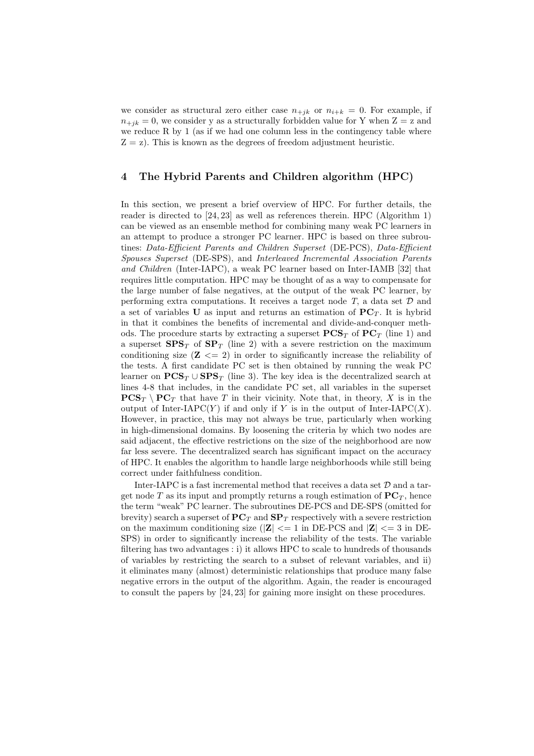we consider as structural zero either case  $n_{+jk}$  or  $n_{i+k} = 0$ . For example, if  $n_{+jk} = 0$ , we consider y as a structurally forbidden value for Y when  $Z = z$  and we reduce R by 1 (as if we had one column less in the contingency table where  $Z = z$ ). This is known as the degrees of freedom adjustment heuristic.

#### 4 The Hybrid Parents and Children algorithm (HPC)

In this section, we present a brief overview of HPC. For further details, the reader is directed to [24, 23] as well as references therein. HPC (Algorithm 1) can be viewed as an ensemble method for combining many weak PC learners in an attempt to produce a stronger PC learner. HPC is based on three subroutines: Data-Efficient Parents and Children Superset (DE-PCS), Data-Efficient Spouses Superset (DE-SPS), and Interleaved Incremental Association Parents and Children (Inter-IAPC), a weak PC learner based on Inter-IAMB [32] that requires little computation. HPC may be thought of as a way to compensate for the large number of false negatives, at the output of the weak PC learner, by performing extra computations. It receives a target node  $T$ , a data set  $D$  and a set of variables U as input and returns an estimation of  $PC_T$ . It is hybrid in that it combines the benefits of incremental and divide-and-conquer methods. The procedure starts by extracting a superset  $\mathbf{PCS}_T$  of  $\mathbf{PC}_T$  (line 1) and a superset  $SPS_T$  of  $SP_T$  (line 2) with a severe restriction on the maximum conditioning size  $(\mathbf{Z} \leq -2)$  in order to significantly increase the reliability of the tests. A first candidate PC set is then obtained by running the weak PC learner on  $PCS_T \cup SPS_T$  (line 3). The key idea is the decentralized search at lines 4-8 that includes, in the candidate PC set, all variables in the superset  $\mathbf{PCS}_T \setminus \mathbf{PC}_T$  that have T in their vicinity. Note that, in theory, X is in the output of Inter-IAPC $(Y)$  if and only if Y is in the output of Inter-IAPC $(X)$ . However, in practice, this may not always be true, particularly when working in high-dimensional domains. By loosening the criteria by which two nodes are said adjacent, the effective restrictions on the size of the neighborhood are now far less severe. The decentralized search has significant impact on the accuracy of HPC. It enables the algorithm to handle large neighborhoods while still being correct under faithfulness condition.

Inter-IAPC is a fast incremental method that receives a data set  $D$  and a target node T as its input and promptly returns a rough estimation of  $PC_T$ , hence the term "weak" PC learner. The subroutines DE-PCS and DE-SPS (omitted for brevity) search a superset of  $PC_T$  and  $SP_T$  respectively with a severe restriction on the maximum conditioning size ( $|Z| \leq 1$  in DE-PCS and  $|Z| \leq 3$  in DE-SPS) in order to significantly increase the reliability of the tests. The variable filtering has two advantages : i) it allows HPC to scale to hundreds of thousands of variables by restricting the search to a subset of relevant variables, and ii) it eliminates many (almost) deterministic relationships that produce many false negative errors in the output of the algorithm. Again, the reader is encouraged to consult the papers by [24, 23] for gaining more insight on these procedures.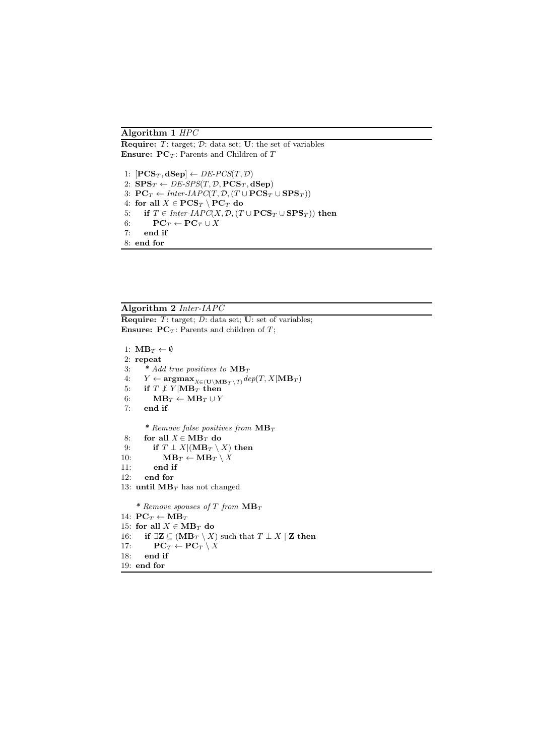#### Algorithm 1 HPC

**Require:**  $T$ : target;  $D$ : data set; **U**: the set of variables **Ensure: PC**<sub>T</sub>: Parents and Children of T

1:  $[PCS_T, dSep] \leftarrow DE\text{-}PCS(T, \mathcal{D})$ 2:  $SPS_T \leftarrow DE\text{-}SPS(T, \mathcal{D}, \text{PCS}_T, \text{dSep})$ 3:  $PC_T \leftarrow Inter-IAPC(T, \mathcal{D}, (T \cup PCS_T \cup SPS_T))$ 4: for all  $X \in \mathbf{PCS}_T \setminus \mathbf{PC}_T$  do 5: if  $T \in Inter-IAPC(X, \mathcal{D}, (T \cup PCS_T \cup SPS_T))$  then 6:  $\mathbf{PC}_T \leftarrow \mathbf{PC}_T \cup \overset{\cdot}{X}$ <br>7: end if end if 8: end for

#### Algorithm 2 Inter-IAPC

**Require:** T: target; D: data set; **U**: set of variables; **Ensure:**  $PC_T$ : Parents and children of T;

```
1: \mathbf{MB}_T \leftarrow \emptyset2: repeat<br>3: *Ad3: * Add true positives to MB_T<br>4: Y \leftarrow \argmax_{X \in (H) \setminus MB_T \setminus T} de4: \quad Y \leftarrow \mathbf{argmax}_{X \in (\mathbf{U} \setminus \mathbf{MB}_T \setminus T)} \text{dep}(T, X | \mathbf{MB}_T)5: if T \not\perp Y|\mathbf{MB}_T then
 6: \mathbf{MB}_T \leftarrow \mathbf{MB}_T \cup Y7: end if
          * Remove false positives from MB_T8: for all X \in MB_T do
9: if T \perp X | (\mathbf{MB}_T \setminus X) then
10: \mathbf{MB}_T \leftarrow \mathbf{MB}_T \setminus X11: end if<br>12: end for
         end for
13: until MB_T has not changed
      * Remove spouses of T from MB_T14: PC_T \leftarrow MB_T15: for all X \in MB_T do
16: if \exists \mathbf{Z} ⊆ (MB<sub>T</sub> \ X) such that T \perp X \mid \mathbf{Z} then
17: \mathbf{PC}_T \leftarrow \mathbf{PC}_T \setminus X18: end if
19: end for
```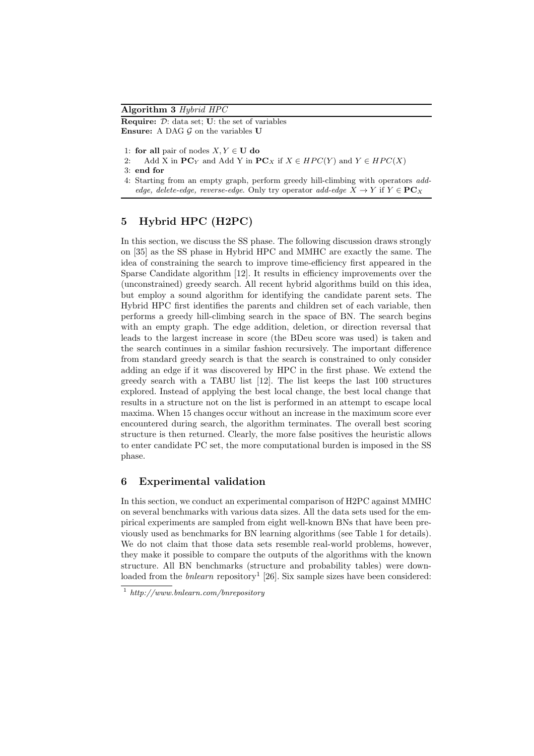Algorithm 3 Hybrid HPC **Require:**  $\mathcal{D}$ : data set; **U**: the set of variables **Ensure:** A DAG  $\mathcal G$  on the variables  $\mathbf U$ 

1: for all pair of nodes  $X, Y \in U$  do

2: Add X in  $PC_Y$  and Add Y in  $PC_X$  if  $X \in HPC(Y)$  and  $Y \in HPC(X)$ 

3: end for

4: Starting from an empty graph, perform greedy hill-climbing with operators *addedge, delete-edge, reverse-edge.* Only try operator *add-edge*  $X \to Y$  if  $Y \in \mathbf{PC}_X$ 

## 5 Hybrid HPC (H2PC)

In this section, we discuss the SS phase. The following discussion draws strongly on [35] as the SS phase in Hybrid HPC and MMHC are exactly the same. The idea of constraining the search to improve time-efficiency first appeared in the Sparse Candidate algorithm [12]. It results in efficiency improvements over the (unconstrained) greedy search. All recent hybrid algorithms build on this idea, but employ a sound algorithm for identifying the candidate parent sets. The Hybrid HPC first identifies the parents and children set of each variable, then performs a greedy hill-climbing search in the space of BN. The search begins with an empty graph. The edge addition, deletion, or direction reversal that leads to the largest increase in score (the BDeu score was used) is taken and the search continues in a similar fashion recursively. The important difference from standard greedy search is that the search is constrained to only consider adding an edge if it was discovered by HPC in the first phase. We extend the greedy search with a TABU list [12]. The list keeps the last 100 structures explored. Instead of applying the best local change, the best local change that results in a structure not on the list is performed in an attempt to escape local maxima. When 15 changes occur without an increase in the maximum score ever encountered during search, the algorithm terminates. The overall best scoring structure is then returned. Clearly, the more false positives the heuristic allows to enter candidate PC set, the more computational burden is imposed in the SS phase.

### 6 Experimental validation

In this section, we conduct an experimental comparison of H2PC against MMHC on several benchmarks with various data sizes. All the data sets used for the empirical experiments are sampled from eight well-known BNs that have been previously used as benchmarks for BN learning algorithms (see Table 1 for details). We do not claim that those data sets resemble real-world problems, however, they make it possible to compare the outputs of the algorithms with the known structure. All BN benchmarks (structure and probability tables) were downloaded from the *bnlearn* repository<sup>1</sup> [26]. Six sample sizes have been considered:

<sup>1</sup> *http://www.bnlearn.com/bnrepository*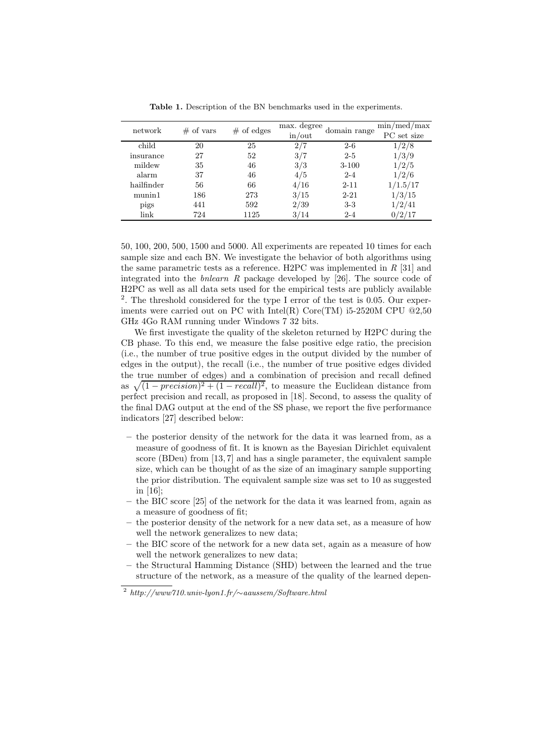| network    | of vars<br># | of edges<br># | max. degree<br>in/out | domain range | min/med/max<br>PC set size |
|------------|--------------|---------------|-----------------------|--------------|----------------------------|
| child      | 20           | 25            | 2/7                   | $2 - 6$      | 1/2/8                      |
| insurance  | 27           | 52            | 3/7                   | $2 - 5$      | 1/3/9                      |
| mildew     | 35           | 46            | 3/3                   | $3 - 100$    | 1/2/5                      |
| alarm      | 37           | 46            | 4/5                   | $2 - 4$      | 1/2/6                      |
| hailfinder | 56           | 66            | 4/16                  | $2 - 11$     | 1/1.5/17                   |
| munin1     | 186          | 273           | 3/15                  | $2 - 21$     | 1/3/15                     |
| pigs       | 441          | 592           | 2/39                  | $3-3$        | 1/2/41                     |
| link       | 724          | 1125          | 3/14                  | $2 - 4$      | 0/2/17                     |

Table 1. Description of the BN benchmarks used in the experiments.

50, 100, 200, 500, 1500 and 5000. All experiments are repeated 10 times for each sample size and each BN. We investigate the behavior of both algorithms using the same parametric tests as a reference. H2PC was implemented in  $R$  [31] and integrated into the bnlearn R package developed by [26]. The source code of H2PC as well as all data sets used for the empirical tests are publicly available 2 . The threshold considered for the type I error of the test is 0.05. Our experiments were carried out on PC with Intel(R)  $Core(TM)$  i5-2520M CPU  $@2,50$ GHz 4Go RAM running under Windows 7 32 bits.

We first investigate the quality of the skeleton returned by H2PC during the CB phase. To this end, we measure the false positive edge ratio, the precision (i.e., the number of true positive edges in the output divided by the number of edges in the output), the recall (i.e., the number of true positive edges divided the true number of edges) and a combination of precision and recall defined as  $\sqrt{(1 - precision)^2 + (1 - recall)^2}$ , to measure the Euclidean distance from perfect precision and recall, as proposed in [18]. Second, to assess the quality of the final DAG output at the end of the SS phase, we report the five performance indicators [27] described below:

- the posterior density of the network for the data it was learned from, as a measure of goodness of fit. It is known as the Bayesian Dirichlet equivalent score (BDeu) from [13, 7] and has a single parameter, the equivalent sample size, which can be thought of as the size of an imaginary sample supporting the prior distribution. The equivalent sample size was set to 10 as suggested in [16];
- the BIC score [25] of the network for the data it was learned from, again as a measure of goodness of fit;
- the posterior density of the network for a new data set, as a measure of how well the network generalizes to new data;
- the BIC score of the network for a new data set, again as a measure of how well the network generalizes to new data;
- the Structural Hamming Distance (SHD) between the learned and the true structure of the network, as a measure of the quality of the learned depen-

<sup>2</sup> *http://www710.univ-lyon1.fr/*∼*aaussem/Software.html*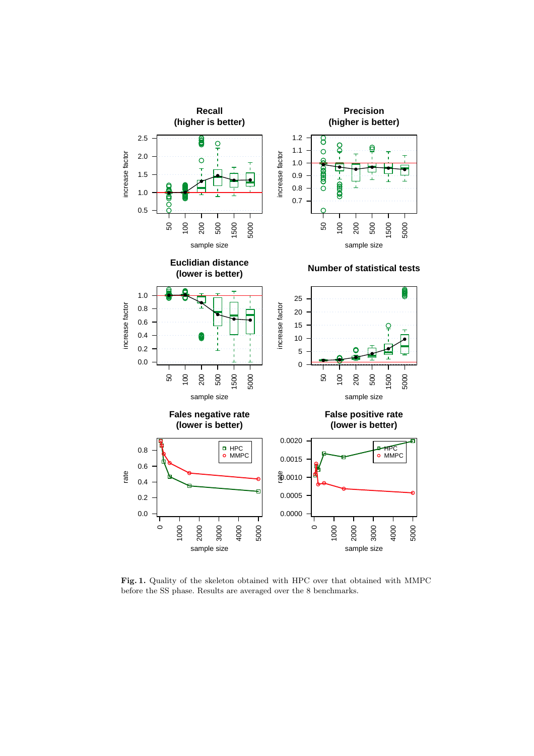

Fig. 1. Quality of the skeleton obtained with HPC over that obtained with MMPC before the SS phase. Results are averaged over the 8 benchmarks.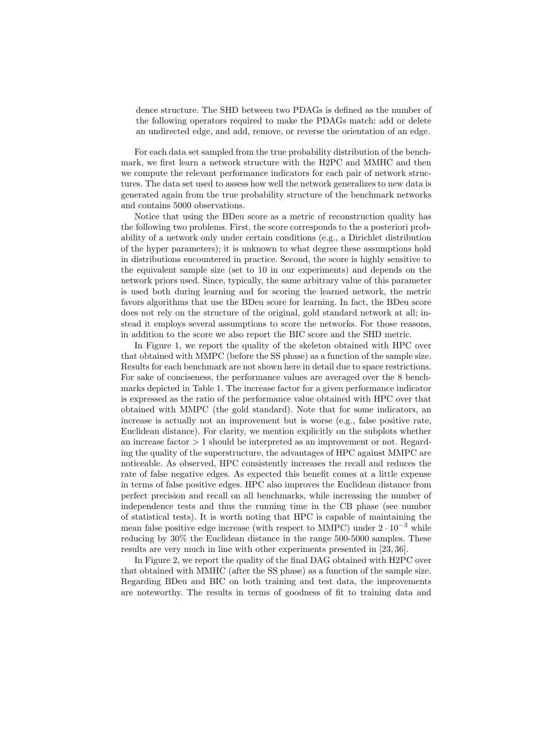dence structure. The SHD between two PDAGs is defined as the number of the following operators required to make the PDAGs match: add or delete an undirected edge, and add, remove, or reverse the orientation of an edge.

For each data set sampled from the true probability distribution of the benchmark, we first learn a network structure with the H2PC and MMHC and then we compute the relevant performance indicators for each pair of network structures. The data set used to assess how well the network generalizes to new data is generated again from the true probability structure of the benchmark networks and contains 5000 observations.

Notice that using the BDeu score as a metric of reconstruction quality has the following two problems. First, the score corresponds to the a posteriori probability of a network only under certain conditions (e.g., a Dirichlet distribution of the hyper parameters); it is unknown to what degree these assumptions hold in distributions encountered in practice. Second, the score is highly sensitive to the equivalent sample size (set to 10 in our experiments) and depends on the network priors used. Since, typically, the same arbitrary value of this parameter is used both during learning and for scoring the learned network, the metric favors algorithms that use the BDeu score for learning. In fact, the BDeu score does not rely on the structure of the original, gold standard network at all; instead it employs several assumptions to score the networks. For those reasons, in addition to the score we also report the BIC score and the SHD metric.

In Figure 1, we report the quality of the skeleton obtained with HPC over that obtained with MMPC (before the SS phase) as a function of the sample size. Results for each benchmark are not shown here in detail due to space restrictions. For sake of conciseness, the performance values are averaged over the 8 benchmarks depicted in Table 1. The increase factor for a given performance indicator is expressed as the ratio of the performance value obtained with HPC over that obtained with MMPC (the gold standard). Note that for some indicators, an increase is actually not an improvement but is worse (e.g., false positive rate, Euclidean distance). For clarity, we mention explicitly on the subplots whether an increase factor  $> 1$  should be interpreted as an improvement or not. Regarding the quality of the superstructure, the advantages of HPC against MMPC are noticeable. As observed, HPC consistently increases the recall and reduces the rate of false negative edges. As expected this benefit comes at a little expense in terms of false positive edges. HPC also improves the Euclidean distance from perfect precision and recall on all benchmarks, while increasing the number of independence tests and thus the running time in the CB phase (see number of statistical tests). It is worth noting that HPC is capable of maintaining the mean false positive edge increase (with respect to MMPC) under  $2 \cdot 10^{-3}$  while reducing by 30% the Euclidean distance in the range 500-5000 samples. These results are very much in line with other experiments presented in [23, 36].

In Figure 2, we report the quality of the final DAG obtained with H2PC over that obtained with MMHC (after the SS phase) as a function of the sample size. Regarding BDeu and BIC on both training and test data, the improvements are noteworthy. The results in terms of goodness of fit to training data and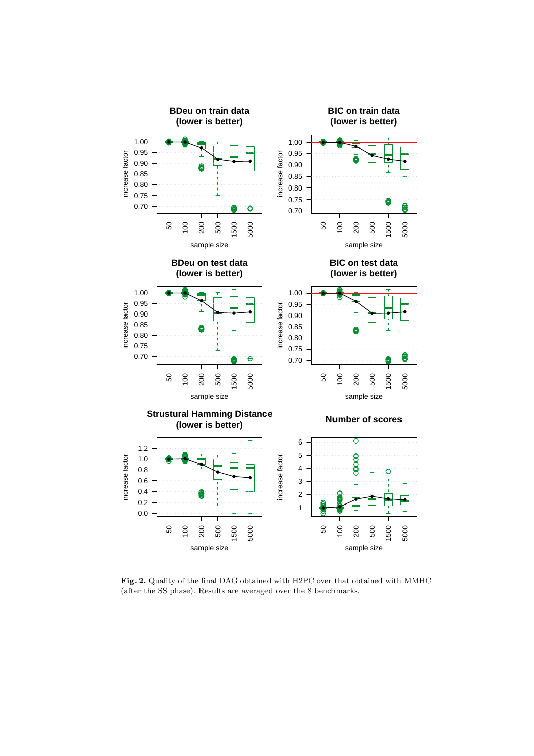

Fig. 2. Quality of the final DAG obtained with H2PC over that obtained with MMHC (after the SS phase). Results are averaged over the 8 benchmarks.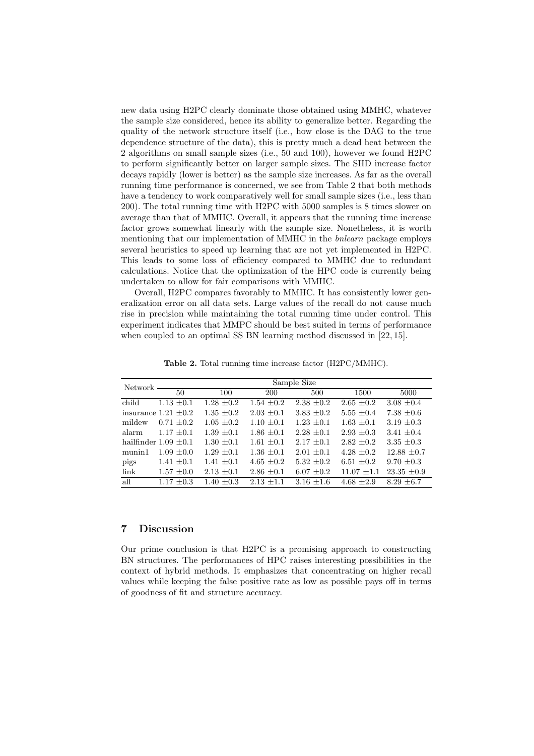new data using H2PC clearly dominate those obtained using MMHC, whatever the sample size considered, hence its ability to generalize better. Regarding the quality of the network structure itself (i.e., how close is the DAG to the true dependence structure of the data), this is pretty much a dead heat between the 2 algorithms on small sample sizes (i.e., 50 and 100), however we found H2PC to perform significantly better on larger sample sizes. The SHD increase factor decays rapidly (lower is better) as the sample size increases. As far as the overall running time performance is concerned, we see from Table 2 that both methods have a tendency to work comparatively well for small sample sizes (i.e., less than 200). The total running time with H2PC with 5000 samples is 8 times slower on average than that of MMHC. Overall, it appears that the running time increase factor grows somewhat linearly with the sample size. Nonetheless, it is worth mentioning that our implementation of MMHC in the *bnlearn* package employs several heuristics to speed up learning that are not yet implemented in H2PC. This leads to some loss of efficiency compared to MMHC due to redundant calculations. Notice that the optimization of the HPC code is currently being undertaken to allow for fair comparisons with MMHC.

Overall, H2PC compares favorably to MMHC. It has consistently lower generalization error on all data sets. Large values of the recall do not cause much rise in precision while maintaining the total running time under control. This experiment indicates that MMPC should be best suited in terms of performance when coupled to an optimal SS BN learning method discussed in [22, 15].

| Network - | Sample Size               |                |                |                |                 |                 |  |  |
|-----------|---------------------------|----------------|----------------|----------------|-----------------|-----------------|--|--|
|           | 50                        | 100            | <b>200</b>     | 500            | 1500            | 5000            |  |  |
| child     | $1.13 \pm 0.1$            | $1.28 \pm 0.2$ | $1.54 \pm 0.2$ | $2.38 \pm 0.2$ | $2.65 \pm 0.2$  | $3.08 \pm 0.4$  |  |  |
|           | insurance $1.21 \pm 0.2$  | $1.35 \pm 0.2$ | $2.03 \pm 0.1$ | $3.83 \pm 0.2$ | $5.55 \pm 0.4$  | $7.38 \pm 0.6$  |  |  |
| mildew    | $0.71 \pm 0.2$            | $1.05 \pm 0.2$ | $1.10 \pm 0.1$ | $1.23 \pm 0.1$ | $1.63 \pm 0.1$  | 3.19 $\pm 0.3$  |  |  |
| alarm     | $1.17 \pm 0.1$            | $1.39 \pm 0.1$ | $1.86 \pm 0.1$ | $2.28 \pm 0.1$ | $2.93 \pm 0.3$  | 3.41 $\pm 0.4$  |  |  |
|           | hailfinder $1.09 \pm 0.1$ | $1.30 + 0.1$   | $1.61 + 0.1$   | $2.17 + 0.1$   | $2.82 \pm 0.2$  | $3.35 \pm 0.3$  |  |  |
| munin1    | $1.09 + 0.0$              | $1.29 \pm 0.1$ | $1.36 \pm 0.1$ | $2.01 + 0.1$   | $4.28 \pm 0.2$  | $12.88 \pm 0.7$ |  |  |
| pigs      | $1.41 \pm 0.1$            | $1.41 \pm 0.1$ | $4.65 \pm 0.2$ | $5.32 \pm 0.2$ | $6.51 \pm 0.2$  | $9.70 \pm 0.3$  |  |  |
| link      | $1.57 \pm 0.0$            | $2.13 \pm 0.1$ | $2.86 \pm 0.1$ | $6.07 \pm 0.2$ | $11.07 \pm 1.1$ | $23.35 \pm 0.9$ |  |  |
| all       | $1.17 + 0.3$              | $1.40 + 0.3$   | $2.13 + 1.1$   | $3.16 + 1.6$   | $4.68 + 2.9$    | $8.29 + 6.7$    |  |  |

Table 2. Total running time increase factor (H2PC/MMHC).

#### 7 Discussion

Our prime conclusion is that H2PC is a promising approach to constructing BN structures. The performances of HPC raises interesting possibilities in the context of hybrid methods. It emphasizes that concentrating on higher recall values while keeping the false positive rate as low as possible pays off in terms of goodness of fit and structure accuracy.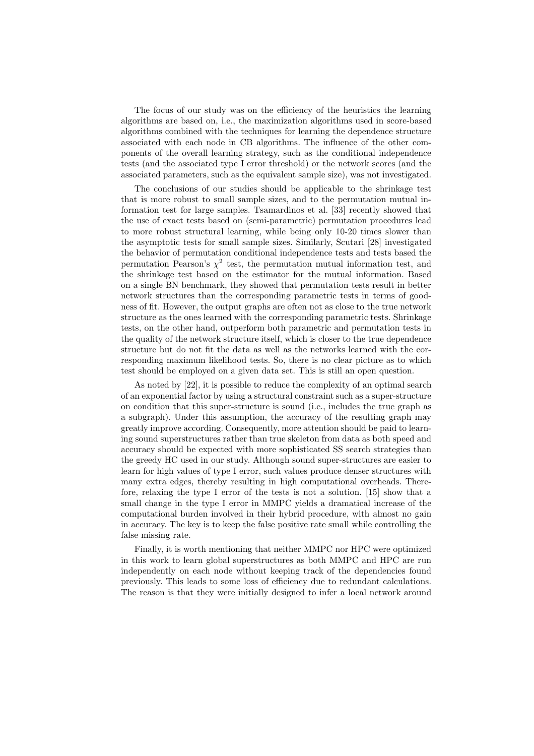The focus of our study was on the efficiency of the heuristics the learning algorithms are based on, i.e., the maximization algorithms used in score-based algorithms combined with the techniques for learning the dependence structure associated with each node in CB algorithms. The influence of the other components of the overall learning strategy, such as the conditional independence tests (and the associated type I error threshold) or the network scores (and the associated parameters, such as the equivalent sample size), was not investigated.

The conclusions of our studies should be applicable to the shrinkage test that is more robust to small sample sizes, and to the permutation mutual information test for large samples. Tsamardinos et al. [33] recently showed that the use of exact tests based on (semi-parametric) permutation procedures lead to more robust structural learning, while being only 10-20 times slower than the asymptotic tests for small sample sizes. Similarly, Scutari [28] investigated the behavior of permutation conditional independence tests and tests based the permutation Pearson's  $\chi^2$  test, the permutation mutual information test, and the shrinkage test based on the estimator for the mutual information. Based on a single BN benchmark, they showed that permutation tests result in better network structures than the corresponding parametric tests in terms of goodness of fit. However, the output graphs are often not as close to the true network structure as the ones learned with the corresponding parametric tests. Shrinkage tests, on the other hand, outperform both parametric and permutation tests in the quality of the network structure itself, which is closer to the true dependence structure but do not fit the data as well as the networks learned with the corresponding maximum likelihood tests. So, there is no clear picture as to which test should be employed on a given data set. This is still an open question.

As noted by [22], it is possible to reduce the complexity of an optimal search of an exponential factor by using a structural constraint such as a super-structure on condition that this super-structure is sound (i.e., includes the true graph as a subgraph). Under this assumption, the accuracy of the resulting graph may greatly improve according. Consequently, more attention should be paid to learning sound superstructures rather than true skeleton from data as both speed and accuracy should be expected with more sophisticated SS search strategies than the greedy HC used in our study. Although sound super-structures are easier to learn for high values of type I error, such values produce denser structures with many extra edges, thereby resulting in high computational overheads. Therefore, relaxing the type I error of the tests is not a solution. [15] show that a small change in the type I error in MMPC yields a dramatical increase of the computational burden involved in their hybrid procedure, with almost no gain in accuracy. The key is to keep the false positive rate small while controlling the false missing rate.

Finally, it is worth mentioning that neither MMPC nor HPC were optimized in this work to learn global superstructures as both MMPC and HPC are run independently on each node without keeping track of the dependencies found previously. This leads to some loss of efficiency due to redundant calculations. The reason is that they were initially designed to infer a local network around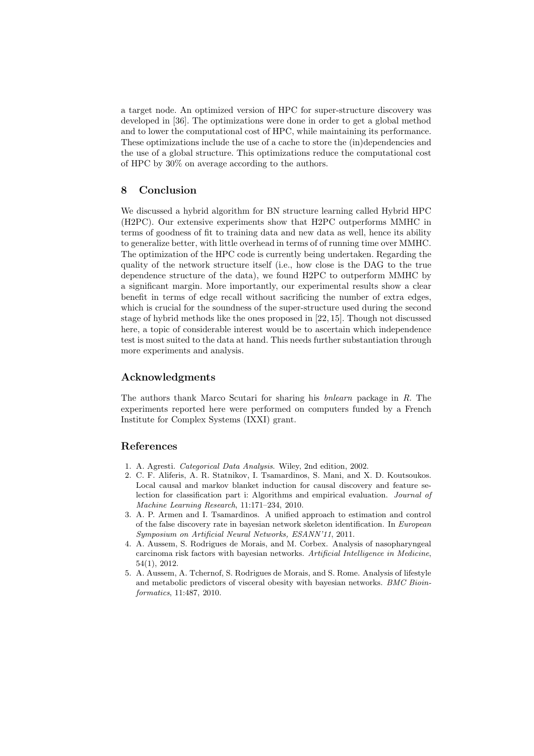a target node. An optimized version of HPC for super-structure discovery was developed in [36]. The optimizations were done in order to get a global method and to lower the computational cost of HPC, while maintaining its performance. These optimizations include the use of a cache to store the (in)dependencies and the use of a global structure. This optimizations reduce the computational cost of HPC by 30% on average according to the authors.

#### 8 Conclusion

We discussed a hybrid algorithm for BN structure learning called Hybrid HPC (H2PC). Our extensive experiments show that H2PC outperforms MMHC in terms of goodness of fit to training data and new data as well, hence its ability to generalize better, with little overhead in terms of of running time over MMHC. The optimization of the HPC code is currently being undertaken. Regarding the quality of the network structure itself (i.e., how close is the DAG to the true dependence structure of the data), we found H2PC to outperform MMHC by a significant margin. More importantly, our experimental results show a clear benefit in terms of edge recall without sacrificing the number of extra edges, which is crucial for the soundness of the super-structure used during the second stage of hybrid methods like the ones proposed in [22, 15]. Though not discussed here, a topic of considerable interest would be to ascertain which independence test is most suited to the data at hand. This needs further substantiation through more experiments and analysis.

#### Acknowledgments

The authors thank Marco Scutari for sharing his bnlearn package in R. The experiments reported here were performed on computers funded by a French Institute for Complex Systems (IXXI) grant.

### References

- 1. A. Agresti. *Categorical Data Analysis*. Wiley, 2nd edition, 2002.
- 2. C. F. Aliferis, A. R. Statnikov, I. Tsamardinos, S. Mani, and X. D. Koutsoukos. Local causal and markov blanket induction for causal discovery and feature selection for classification part i: Algorithms and empirical evaluation. *Journal of Machine Learning Research*, 11:171–234, 2010.
- 3. A. P. Armen and I. Tsamardinos. A unified approach to estimation and control of the false discovery rate in bayesian network skeleton identification. In *European Symposium on Artificial Neural Networks, ESANN'11*, 2011.
- 4. A. Aussem, S. Rodrigues de Morais, and M. Corbex. Analysis of nasopharyngeal carcinoma risk factors with bayesian networks. *Artificial Intelligence in Medicine*, 54(1), 2012.
- 5. A. Aussem, A. Tchernof, S. Rodrigues de Morais, and S. Rome. Analysis of lifestyle and metabolic predictors of visceral obesity with bayesian networks. *BMC Bioinformatics*, 11:487, 2010.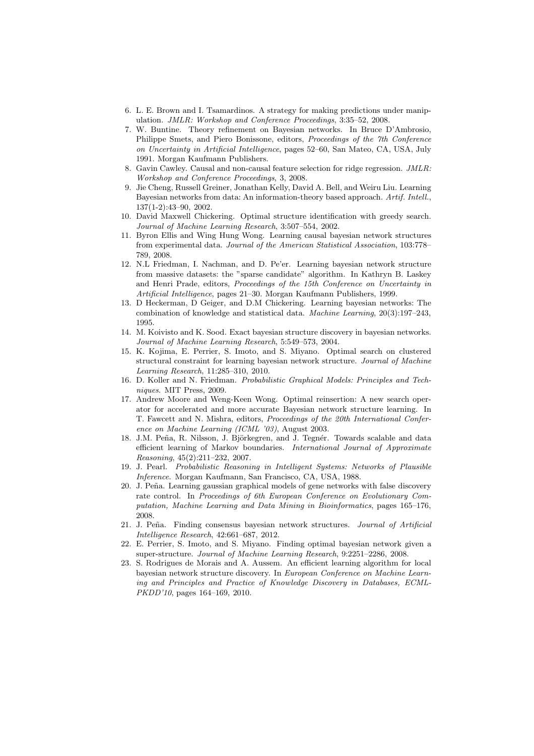- 6. L. E. Brown and I. Tsamardinos. A strategy for making predictions under manipulation. *JMLR: Workshop and Conference Proceedings*, 3:35–52, 2008.
- 7. W. Buntine. Theory refinement on Bayesian networks. In Bruce D'Ambrosio, Philippe Smets, and Piero Bonissone, editors, *Proceedings of the 7th Conference on Uncertainty in Artificial Intelligence*, pages 52–60, San Mateo, CA, USA, July 1991. Morgan Kaufmann Publishers.
- 8. Gavin Cawley. Causal and non-causal feature selection for ridge regression. *JMLR: Workshop and Conference Proceedings*, 3, 2008.
- 9. Jie Cheng, Russell Greiner, Jonathan Kelly, David A. Bell, and Weiru Liu. Learning Bayesian networks from data: An information-theory based approach. *Artif. Intell.*, 137(1-2):43–90, 2002.
- 10. David Maxwell Chickering. Optimal structure identification with greedy search. *Journal of Machine Learning Research*, 3:507–554, 2002.
- 11. Byron Ellis and Wing Hung Wong. Learning causal bayesian network structures from experimental data. *Journal of the American Statistical Association*, 103:778– 789, 2008.
- 12. N.L Friedman, I. Nachman, and D. Pe'er. Learning bayesian network structure from massive datasets: the "sparse candidate" algorithm. In Kathryn B. Laskey and Henri Prade, editors, *Proceedings of the 15th Conference on Uncertainty in Artificial Intelligence*, pages 21–30. Morgan Kaufmann Publishers, 1999.
- 13. D Heckerman, D Geiger, and D.M Chickering. Learning bayesian networks: The combination of knowledge and statistical data. *Machine Learning*, 20(3):197–243, 1995.
- 14. M. Koivisto and K. Sood. Exact bayesian structure discovery in bayesian networks. *Journal of Machine Learning Research*, 5:549–573, 2004.
- 15. K. Kojima, E. Perrier, S. Imoto, and S. Miyano. Optimal search on clustered structural constraint for learning bayesian network structure. *Journal of Machine Learning Research*, 11:285–310, 2010.
- 16. D. Koller and N. Friedman. *Probabilistic Graphical Models: Principles and Techniques*. MIT Press, 2009.
- 17. Andrew Moore and Weng-Keen Wong. Optimal reinsertion: A new search operator for accelerated and more accurate Bayesian network structure learning. In T. Fawcett and N. Mishra, editors, *Proceedings of the 20th International Conference on Machine Learning (ICML '03)*, August 2003.
- 18. J.M. Peña, R. Nilsson, J. Björkegren, and J. Tegnér. Towards scalable and data efficient learning of Markov boundaries. *International Journal of Approximate Reasoning*, 45(2):211–232, 2007.
- 19. J. Pearl. *Probabilistic Reasoning in Intelligent Systems: Networks of Plausible Inference.* Morgan Kaufmann, San Francisco, CA, USA, 1988.
- 20. J. Peña. Learning gaussian graphical models of gene networks with false discovery rate control. In *Proceedings of 6th European Conference on Evolutionary Computation, Machine Learning and Data Mining in Bioinformatics*, pages 165–176, 2008.
- 21. J. Pe˜na. Finding consensus bayesian network structures. *Journal of Artificial Intelligence Research*, 42:661–687, 2012.
- 22. E. Perrier, S. Imoto, and S. Miyano. Finding optimal bayesian network given a super-structure. *Journal of Machine Learning Research*, 9:2251–2286, 2008.
- 23. S. Rodrigues de Morais and A. Aussem. An efficient learning algorithm for local bayesian network structure discovery. In *European Conference on Machine Learning and Principles and Practice of Knowledge Discovery in Databases, ECML-PKDD'10*, pages 164–169, 2010.